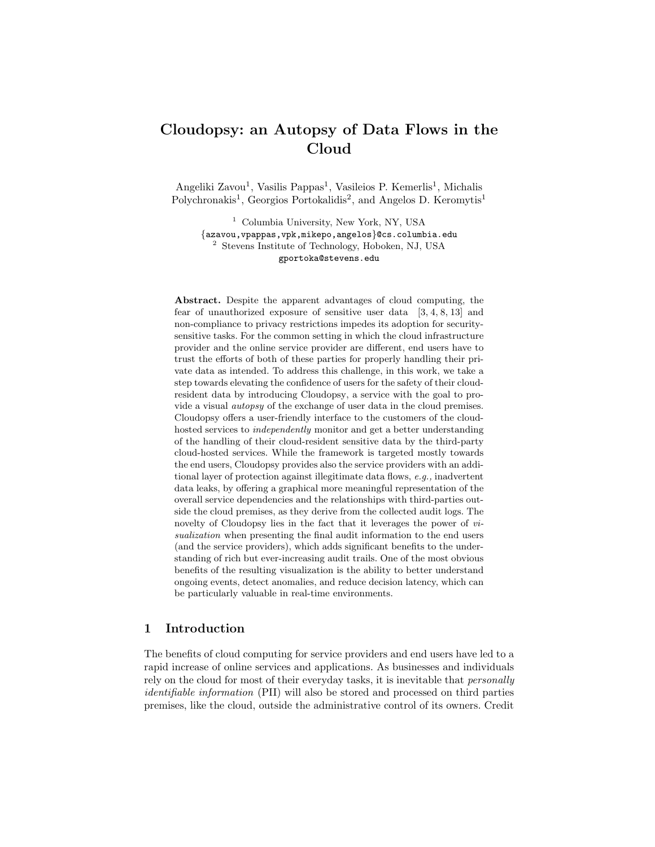# Cloudopsy: an Autopsy of Data Flows in the Cloud

Angeliki Zavou<sup>1</sup>, Vasilis Pappas<sup>1</sup>, Vasileios P. Kemerlis<sup>1</sup>, Michalis Polychronakis<sup>1</sup>, Georgios Portokalidis<sup>2</sup>, and Angelos D. Keromytis<sup>1</sup>

<sup>1</sup> Columbia University, New York, NY, USA {azavou,vpappas,vpk,mikepo,angelos}@cs.columbia.edu <sup>2</sup> Stevens Institute of Technology, Hoboken, NJ, USA gportoka@stevens.edu

Abstract. Despite the apparent advantages of cloud computing, the fear of unauthorized exposure of sensitive user data [\[3,](#page-9-0) [4,](#page-9-1) [8,](#page-9-2) [13\]](#page-9-3) and non-compliance to privacy restrictions impedes its adoption for securitysensitive tasks. For the common setting in which the cloud infrastructure provider and the online service provider are different, end users have to trust the efforts of both of these parties for properly handling their private data as intended. To address this challenge, in this work, we take a step towards elevating the confidence of users for the safety of their cloudresident data by introducing Cloudopsy, a service with the goal to provide a visual autopsy of the exchange of user data in the cloud premises. Cloudopsy offers a user-friendly interface to the customers of the cloudhosted services to independently monitor and get a better understanding of the handling of their cloud-resident sensitive data by the third-party cloud-hosted services. While the framework is targeted mostly towards the end users, Cloudopsy provides also the service providers with an additional layer of protection against illegitimate data flows, e.g., inadvertent data leaks, by offering a graphical more meaningful representation of the overall service dependencies and the relationships with third-parties outside the cloud premises, as they derive from the collected audit logs. The novelty of Cloudopsy lies in the fact that it leverages the power of visualization when presenting the final audit information to the end users (and the service providers), which adds significant benefits to the understanding of rich but ever-increasing audit trails. One of the most obvious benefits of the resulting visualization is the ability to better understand ongoing events, detect anomalies, and reduce decision latency, which can be particularly valuable in real-time environments.

## 1 Introduction

The benefits of cloud computing for service providers and end users have led to a rapid increase of online services and applications. As businesses and individuals rely on the cloud for most of their everyday tasks, it is inevitable that personally identifiable information (PII) will also be stored and processed on third parties premises, like the cloud, outside the administrative control of its owners. Credit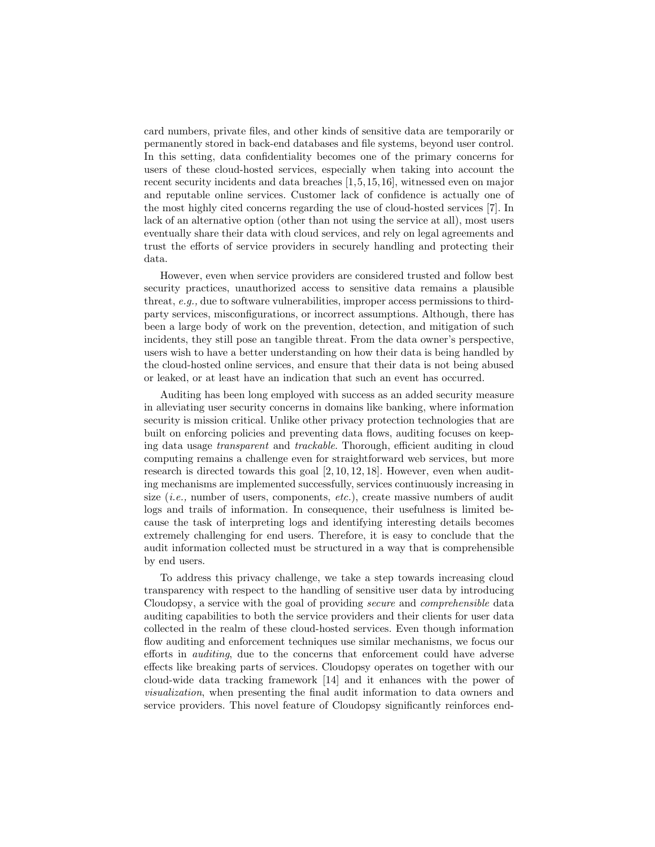card numbers, private files, and other kinds of sensitive data are temporarily or permanently stored in back-end databases and file systems, beyond user control. In this setting, data confidentiality becomes one of the primary concerns for users of these cloud-hosted services, especially when taking into account the recent security incidents and data breaches [\[1,](#page-8-0)[5,](#page-9-4)[15,](#page-9-5)[16\]](#page-9-6), witnessed even on major and reputable online services. Customer lack of confidence is actually one of the most highly cited concerns regarding the use of cloud-hosted services [\[7\]](#page-9-7). In lack of an alternative option (other than not using the service at all), most users eventually share their data with cloud services, and rely on legal agreements and trust the efforts of service providers in securely handling and protecting their data.

However, even when service providers are considered trusted and follow best security practices, unauthorized access to sensitive data remains a plausible threat, e.g., due to software vulnerabilities, improper access permissions to thirdparty services, misconfigurations, or incorrect assumptions. Although, there has been a large body of work on the prevention, detection, and mitigation of such incidents, they still pose an tangible threat. From the data owner's perspective, users wish to have a better understanding on how their data is being handled by the cloud-hosted online services, and ensure that their data is not being abused or leaked, or at least have an indication that such an event has occurred.

Auditing has been long employed with success as an added security measure in alleviating user security concerns in domains like banking, where information security is mission critical. Unlike other privacy protection technologies that are built on enforcing policies and preventing data flows, auditing focuses on keeping data usage transparent and trackable. Thorough, efficient auditing in cloud computing remains a challenge even for straightforward web services, but more research is directed towards this goal [\[2,](#page-9-8) [10,](#page-9-9) [12,](#page-9-10) [18\]](#page-9-11). However, even when auditing mechanisms are implemented successfully, services continuously increasing in size  $(i.e.,$  number of users, components,  $etc.$ ), create massive numbers of audit logs and trails of information. In consequence, their usefulness is limited because the task of interpreting logs and identifying interesting details becomes extremely challenging for end users. Therefore, it is easy to conclude that the audit information collected must be structured in a way that is comprehensible by end users.

To address this privacy challenge, we take a step towards increasing cloud transparency with respect to the handling of sensitive user data by introducing Cloudopsy, a service with the goal of providing secure and comprehensible data auditing capabilities to both the service providers and their clients for user data collected in the realm of these cloud-hosted services. Even though information flow auditing and enforcement techniques use similar mechanisms, we focus our efforts in auditing, due to the concerns that enforcement could have adverse effects like breaking parts of services. Cloudopsy operates on together with our cloud-wide data tracking framework [\[14\]](#page-9-12) and it enhances with the power of visualization, when presenting the final audit information to data owners and service providers. This novel feature of Cloudopsy significantly reinforces end-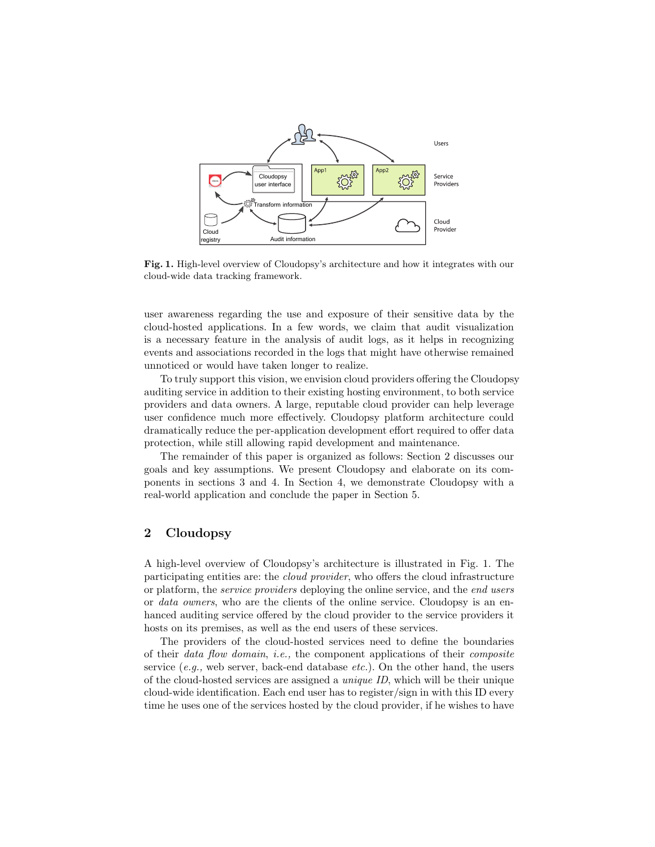

<span id="page-2-1"></span>Fig. 1. High-level overview of Cloudopsy's architecture and how it integrates with our cloud-wide data tracking framework.

user awareness regarding the use and exposure of their sensitive data by the cloud-hosted applications. In a few words, we claim that audit visualization is a necessary feature in the analysis of audit logs, as it helps in recognizing events and associations recorded in the logs that might have otherwise remained unnoticed or would have taken longer to realize.

To truly support this vision, we envision cloud providers offering the Cloudopsy auditing service in addition to their existing hosting environment, to both service providers and data owners. A large, reputable cloud provider can help leverage user confidence much more effectively. Cloudopsy platform architecture could dramatically reduce the per-application development effort required to offer data protection, while still allowing rapid development and maintenance.

The remainder of this paper is organized as follows: Section [2](#page-2-0) discusses our goals and key assumptions. We present Cloudopsy and elaborate on its components in sections [3](#page-4-0) and [4.](#page-5-0) In Section [4,](#page-5-0) we demonstrate Cloudopsy with a real-world application and conclude the paper in Section [5.](#page-8-1)

## <span id="page-2-0"></span>2 Cloudopsy

A high-level overview of Cloudopsy's architecture is illustrated in Fig. [1.](#page-2-1) The participating entities are: the cloud provider, who offers the cloud infrastructure or platform, the service providers deploying the online service, and the end users or data owners, who are the clients of the online service. Cloudopsy is an enhanced auditing service offered by the cloud provider to the service providers it hosts on its premises, as well as the end users of these services.

The providers of the cloud-hosted services need to define the boundaries of their data flow domain, i.e., the component applications of their composite service (e.g., web server, back-end database etc.). On the other hand, the users of the cloud-hosted services are assigned a unique ID, which will be their unique cloud-wide identification. Each end user has to register/sign in with this ID every time he uses one of the services hosted by the cloud provider, if he wishes to have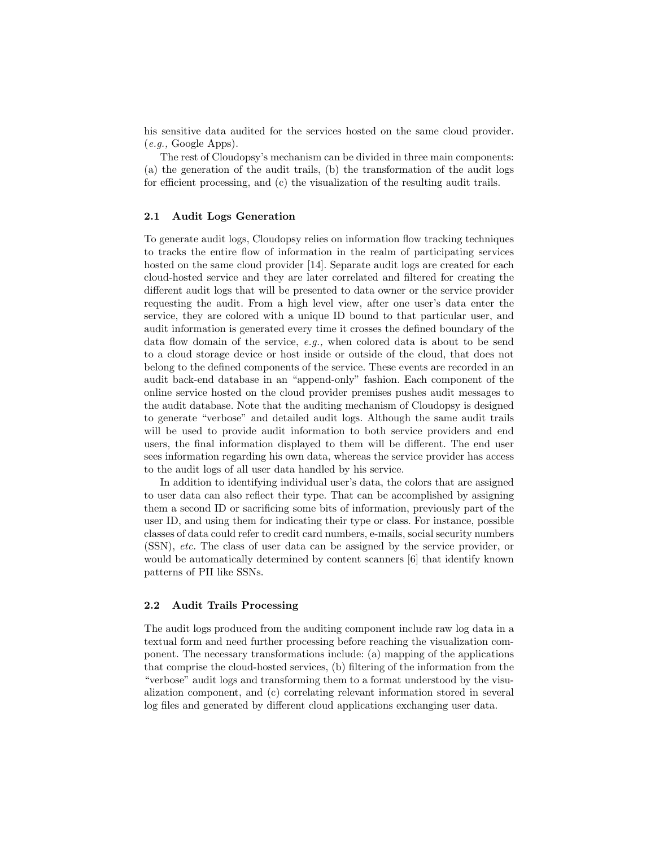his sensitive data audited for the services hosted on the same cloud provider. (e.g., Google Apps).

The rest of Cloudopsy's mechanism can be divided in three main components: (a) the generation of the audit trails, (b) the transformation of the audit logs for efficient processing, and (c) the visualization of the resulting audit trails.

#### 2.1 Audit Logs Generation

To generate audit logs, Cloudopsy relies on information flow tracking techniques to tracks the entire flow of information in the realm of participating services hosted on the same cloud provider [\[14\]](#page-9-12). Separate audit logs are created for each cloud-hosted service and they are later correlated and filtered for creating the different audit logs that will be presented to data owner or the service provider requesting the audit. From a high level view, after one user's data enter the service, they are colored with a unique ID bound to that particular user, and audit information is generated every time it crosses the defined boundary of the data flow domain of the service, e.g., when colored data is about to be send to a cloud storage device or host inside or outside of the cloud, that does not belong to the defined components of the service. These events are recorded in an audit back-end database in an "append-only" fashion. Each component of the online service hosted on the cloud provider premises pushes audit messages to the audit database. Note that the auditing mechanism of Cloudopsy is designed to generate "verbose" and detailed audit logs. Although the same audit trails will be used to provide audit information to both service providers and end users, the final information displayed to them will be different. The end user sees information regarding his own data, whereas the service provider has access to the audit logs of all user data handled by his service.

In addition to identifying individual user's data, the colors that are assigned to user data can also reflect their type. That can be accomplished by assigning them a second ID or sacrificing some bits of information, previously part of the user ID, and using them for indicating their type or class. For instance, possible classes of data could refer to credit card numbers, e-mails, social security numbers (SSN), etc. The class of user data can be assigned by the service provider, or would be automatically determined by content scanners [\[6\]](#page-9-13) that identify known patterns of PII like SSNs.

### 2.2 Audit Trails Processing

The audit logs produced from the auditing component include raw log data in a textual form and need further processing before reaching the visualization component. The necessary transformations include: (a) mapping of the applications that comprise the cloud-hosted services, (b) filtering of the information from the "verbose" audit logs and transforming them to a format understood by the visualization component, and (c) correlating relevant information stored in several log files and generated by different cloud applications exchanging user data.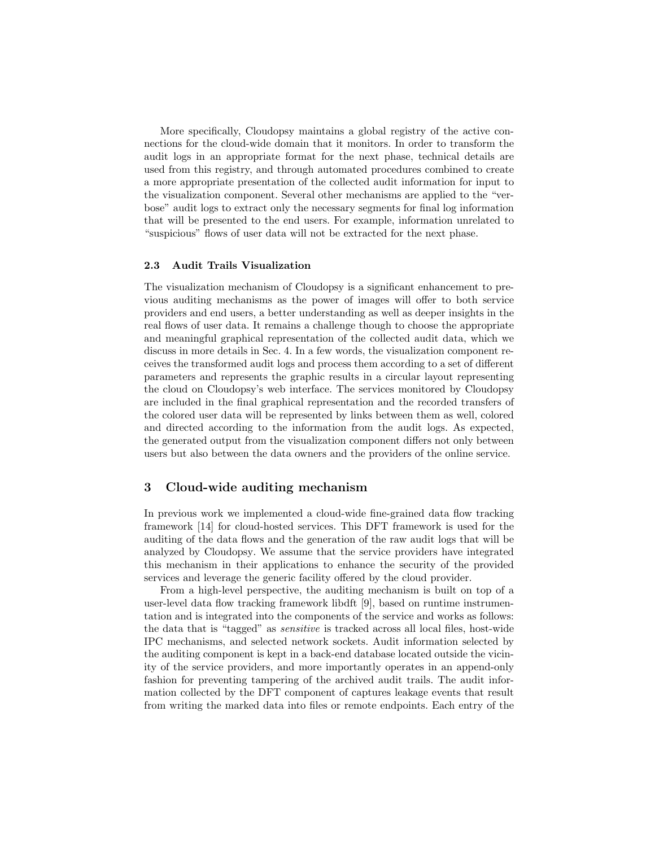More specifically, Cloudopsy maintains a global registry of the active connections for the cloud-wide domain that it monitors. In order to transform the audit logs in an appropriate format for the next phase, technical details are used from this registry, and through automated procedures combined to create a more appropriate presentation of the collected audit information for input to the visualization component. Several other mechanisms are applied to the "verbose" audit logs to extract only the necessary segments for final log information that will be presented to the end users. For example, information unrelated to "suspicious" flows of user data will not be extracted for the next phase.

#### 2.3 Audit Trails Visualization

The visualization mechanism of Cloudopsy is a significant enhancement to previous auditing mechanisms as the power of images will offer to both service providers and end users, a better understanding as well as deeper insights in the real flows of user data. It remains a challenge though to choose the appropriate and meaningful graphical representation of the collected audit data, which we discuss in more details in Sec. [4.](#page-5-0) In a few words, the visualization component receives the transformed audit logs and process them according to a set of different parameters and represents the graphic results in a circular layout representing the cloud on Cloudopsy's web interface. The services monitored by Cloudopsy are included in the final graphical representation and the recorded transfers of the colored user data will be represented by links between them as well, colored and directed according to the information from the audit logs. As expected, the generated output from the visualization component differs not only between users but also between the data owners and the providers of the online service.

## <span id="page-4-0"></span>3 Cloud-wide auditing mechanism

In previous work we implemented a cloud-wide fine-grained data flow tracking framework [\[14\]](#page-9-12) for cloud-hosted services. This DFT framework is used for the auditing of the data flows and the generation of the raw audit logs that will be analyzed by Cloudopsy. We assume that the service providers have integrated this mechanism in their applications to enhance the security of the provided services and leverage the generic facility offered by the cloud provider.

From a high-level perspective, the auditing mechanism is built on top of a user-level data flow tracking framework libdft [\[9\]](#page-9-14), based on runtime instrumentation and is integrated into the components of the service and works as follows: the data that is "tagged" as sensitive is tracked across all local files, host-wide IPC mechanisms, and selected network sockets. Audit information selected by the auditing component is kept in a back-end database located outside the vicinity of the service providers, and more importantly operates in an append-only fashion for preventing tampering of the archived audit trails. The audit information collected by the DFT component of captures leakage events that result from writing the marked data into files or remote endpoints. Each entry of the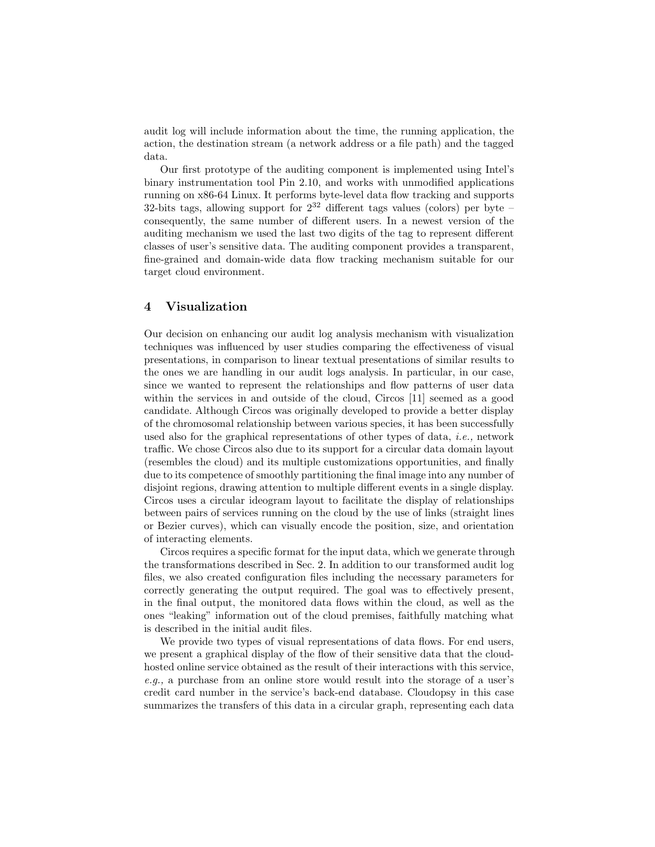audit log will include information about the time, the running application, the action, the destination stream (a network address or a file path) and the tagged data.

Our first prototype of the auditing component is implemented using Intel's binary instrumentation tool Pin 2.10, and works with unmodified applications running on x86-64 Linux. It performs byte-level data flow tracking and supports 32-bits tags, allowing support for  $2^{32}$  different tags values (colors) per byte – consequently, the same number of different users. In a newest version of the auditing mechanism we used the last two digits of the tag to represent different classes of user's sensitive data. The auditing component provides a transparent, fine-grained and domain-wide data flow tracking mechanism suitable for our target cloud environment.

## <span id="page-5-0"></span>4 Visualization

Our decision on enhancing our audit log analysis mechanism with visualization techniques was influenced by user studies comparing the effectiveness of visual presentations, in comparison to linear textual presentations of similar results to the ones we are handling in our audit logs analysis. In particular, in our case, since we wanted to represent the relationships and flow patterns of user data within the services in and outside of the cloud, Circos [\[11\]](#page-9-15) seemed as a good candidate. Although Circos was originally developed to provide a better display of the chromosomal relationship between various species, it has been successfully used also for the graphical representations of other types of data, *i.e.*, network traffic. We chose Circos also due to its support for a circular data domain layout (resembles the cloud) and its multiple customizations opportunities, and finally due to its competence of smoothly partitioning the final image into any number of disjoint regions, drawing attention to multiple different events in a single display. Circos uses a circular ideogram layout to facilitate the display of relationships between pairs of services running on the cloud by the use of links (straight lines or Bezier curves), which can visually encode the position, size, and orientation of interacting elements.

Circos requires a specific format for the input data, which we generate through the transformations described in Sec. [2.](#page-2-0) In addition to our transformed audit log files, we also created configuration files including the necessary parameters for correctly generating the output required. The goal was to effectively present, in the final output, the monitored data flows within the cloud, as well as the ones "leaking" information out of the cloud premises, faithfully matching what is described in the initial audit files.

We provide two types of visual representations of data flows. For end users, we present a graphical display of the flow of their sensitive data that the cloudhosted online service obtained as the result of their interactions with this service, e.g., a purchase from an online store would result into the storage of a user's credit card number in the service's back-end database. Cloudopsy in this case summarizes the transfers of this data in a circular graph, representing each data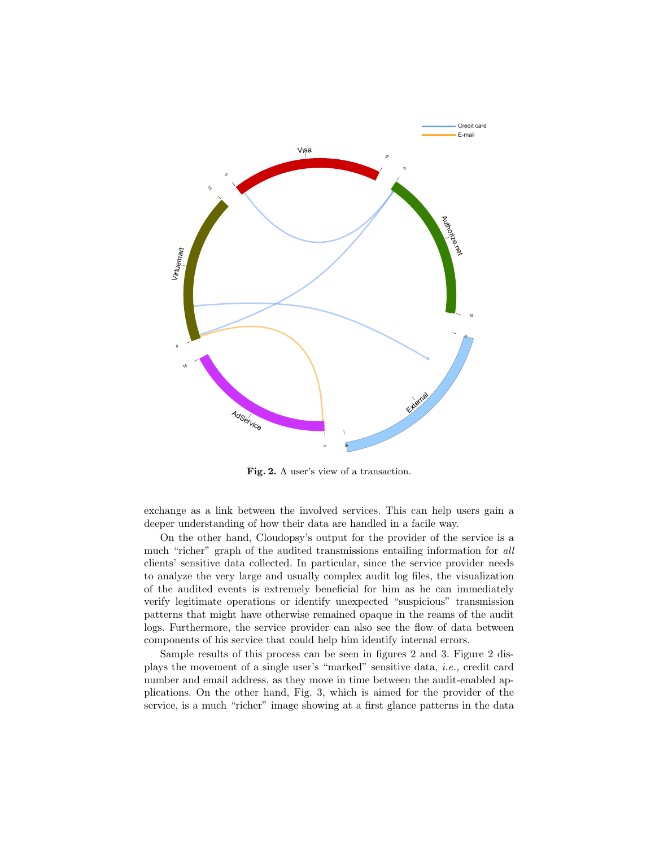

<span id="page-6-0"></span>Fig. 2. A user's view of a transaction.

exchange as a link between the involved services. This can help users gain a deeper understanding of how their data are handled in a facile way.

On the other hand, Cloudopsy's output for the provider of the service is a much "richer" graph of the audited transmissions entailing information for all clients' sensitive data collected. In particular, since the service provider needs to analyze the very large and usually complex audit log files, the visualization of the audited events is extremely beneficial for him as he can immediately verify legitimate operations or identify unexpected "suspicious" transmission patterns that might have otherwise remained opaque in the reams of the audit logs. Furthermore, the service provider can also see the flow of data between components of his service that could help him identify internal errors.

Sample results of this process can be seen in figures [2](#page-6-0) and [3.](#page-7-0) Figure [2](#page-6-0) displays the movement of a single user's "marked" sensitive data, i.e., credit card number and email address, as they move in time between the audit-enabled applications. On the other hand, Fig. [3,](#page-7-0) which is aimed for the provider of the service, is a much "richer" image showing at a first glance patterns in the data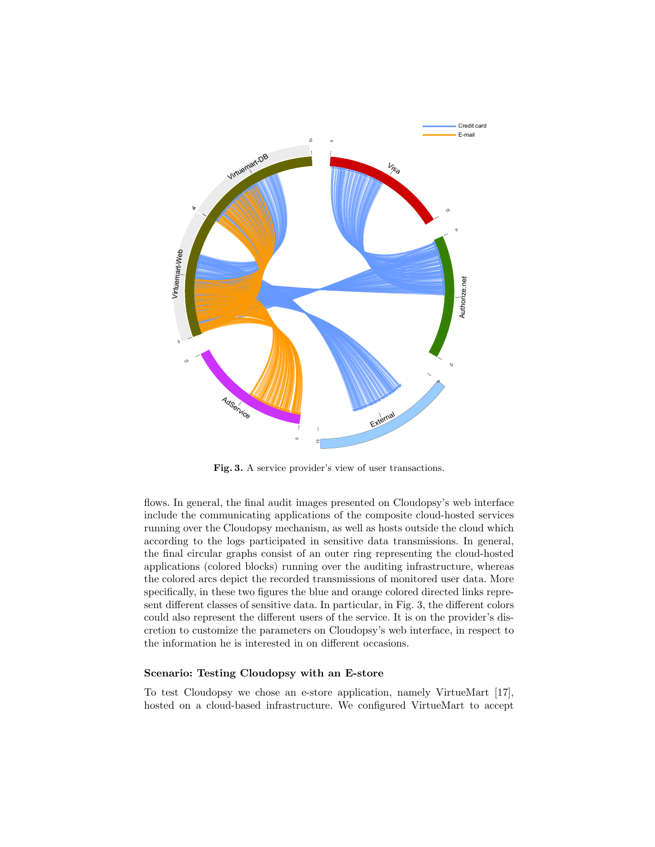

<span id="page-7-0"></span>Fig. 3. A service provider's view of user transactions.

flows. In general, the final audit images presented on Cloudopsy's web interface include the communicating applications of the composite cloud-hosted services running over the Cloudopsy mechanism, as well as hosts outside the cloud which according to the logs participated in sensitive data transmissions. In general, the final circular graphs consist of an outer ring representing the cloud-hosted applications (colored blocks) running over the auditing infrastructure, whereas the colored arcs depict the recorded transmissions of monitored user data. More specifically, in these two figures the blue and orange colored directed links represent different classes of sensitive data. In particular, in Fig. [3,](#page-7-0) the different colors could also represent the different users of the service. It is on the provider's discretion to customize the parameters on Cloudopsy's web interface, in respect to the information he is interested in on different occasions.

### Scenario: Testing Cloudopsy with an E-store

To test Cloudopsy we chose an e-store application, namely VirtueMart [\[17\]](#page-9-16), hosted on a cloud-based infrastructure. We configured VirtueMart to accept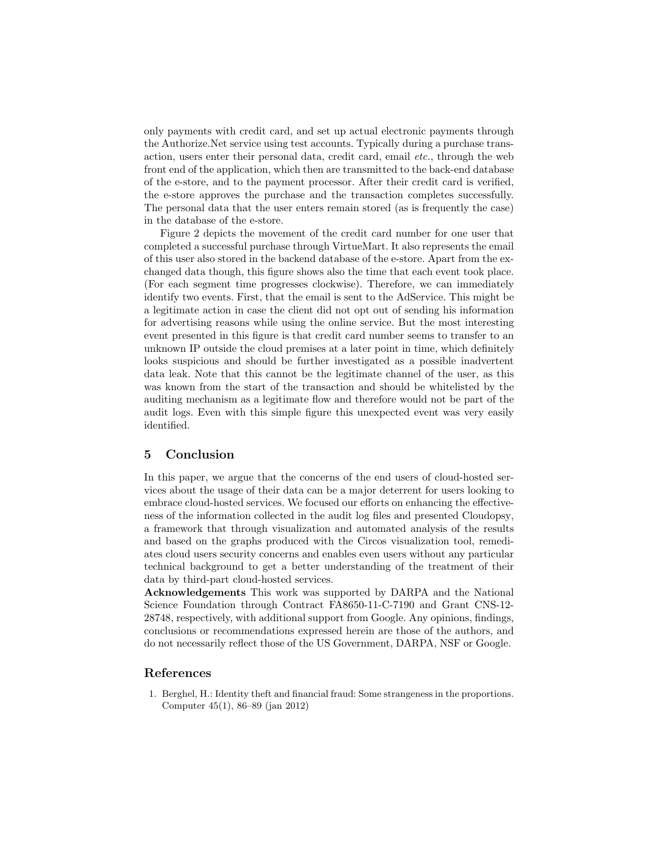only payments with credit card, and set up actual electronic payments through the Authorize.Net service using test accounts. Typically during a purchase transaction, users enter their personal data, credit card, email etc., through the web front end of the application, which then are transmitted to the back-end database of the e-store, and to the payment processor. After their credit card is verified, the e-store approves the purchase and the transaction completes successfully. The personal data that the user enters remain stored (as is frequently the case) in the database of the e-store.

Figure [2](#page-6-0) depicts the movement of the credit card number for one user that completed a successful purchase through VirtueMart. It also represents the email of this user also stored in the backend database of the e-store. Apart from the exchanged data though, this figure shows also the time that each event took place. (For each segment time progresses clockwise). Therefore, we can immediately identify two events. First, that the email is sent to the AdService. This might be a legitimate action in case the client did not opt out of sending his information for advertising reasons while using the online service. But the most interesting event presented in this figure is that credit card number seems to transfer to an unknown IP outside the cloud premises at a later point in time, which definitely looks suspicious and should be further investigated as a possible inadvertent data leak. Note that this cannot be the legitimate channel of the user, as this was known from the start of the transaction and should be whitelisted by the auditing mechanism as a legitimate flow and therefore would not be part of the audit logs. Even with this simple figure this unexpected event was very easily identified.

## <span id="page-8-1"></span>5 Conclusion

In this paper, we argue that the concerns of the end users of cloud-hosted services about the usage of their data can be a major deterrent for users looking to embrace cloud-hosted services. We focused our efforts on enhancing the effectiveness of the information collected in the audit log files and presented Cloudopsy, a framework that through visualization and automated analysis of the results and based on the graphs produced with the Circos visualization tool, remediates cloud users security concerns and enables even users without any particular technical background to get a better understanding of the treatment of their data by third-part cloud-hosted services.

Acknowledgements This work was supported by DARPA and the National Science Foundation through Contract FA8650-11-C-7190 and Grant CNS-12- 28748, respectively, with additional support from Google. Any opinions, findings, conclusions or recommendations expressed herein are those of the authors, and do not necessarily reflect those of the US Government, DARPA, NSF or Google.

## References

<span id="page-8-0"></span>1. Berghel, H.: Identity theft and financial fraud: Some strangeness in the proportions. Computer 45(1), 86–89 (jan 2012)